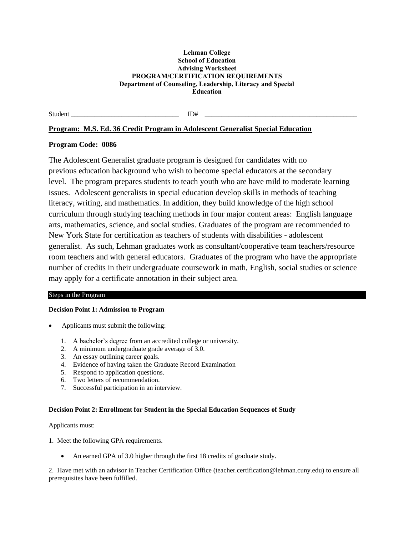#### **Lehman College School of Education Advising Worksheet PROGRAM/CERTIFICATION REQUIREMENTS Department of Counseling, Leadership, Literacy and Special Education**

Student \_\_\_\_\_\_\_\_\_\_\_\_\_\_\_\_\_\_\_\_\_\_\_\_\_\_\_\_\_\_\_\_ ID# \_\_\_\_\_\_\_\_\_\_\_\_\_\_\_\_\_\_\_\_\_\_\_\_\_\_\_\_\_\_\_\_\_\_\_\_\_\_\_\_\_\_\_\_\_

### **Program: M.S. Ed. 36 Credit Program in Adolescent Generalist Special Education**

### **Program Code: 0086**

The Adolescent Generalist graduate program is designed for candidates with no previous education background who wish to become special educators at the secondary level. The program prepares students to teach youth who are have mild to moderate learning issues. Adolescent generalists in special education develop skills in methods of teaching literacy, writing, and mathematics. In addition, they build knowledge of the high school curriculum through studying teaching methods in four major content areas: English language arts, mathematics, science, and social studies. Graduates of the program are recommended to New York State for certification as teachers of students with disabilities - adolescent generalist. As such, Lehman graduates work as consultant/cooperative team teachers/resource room teachers and with general educators. Graduates of the program who have the appropriate number of credits in their undergraduate coursework in math, English, social studies or science may apply for a certificate annotation in their subject area.

### Steps in the Program

### **Decision Point 1: Admission to Program**

- Applicants must submit the following:
	- 1. A bachelor's degree from an accredited college or university.
	- 2. A minimum undergraduate grade average of 3.0.
	- 3. An essay outlining career goals.
	- 4. Evidence of having taken the Graduate Record Examination
	- 5. Respond to application questions.
	- 6. Two letters of recommendation.
	- 7. Successful participation in an interview.

### **Decision Point 2: Enrollment for Student in the Special Education Sequences of Study**

Applicants must:

1. Meet the following GPA requirements.

An earned GPA of 3.0 higher through the first 18 credits of graduate study.

2. Have met with an advisor in Teacher Certification Office (teacher.certification@lehman.cuny.edu) to ensure all prerequisites have been fulfilled.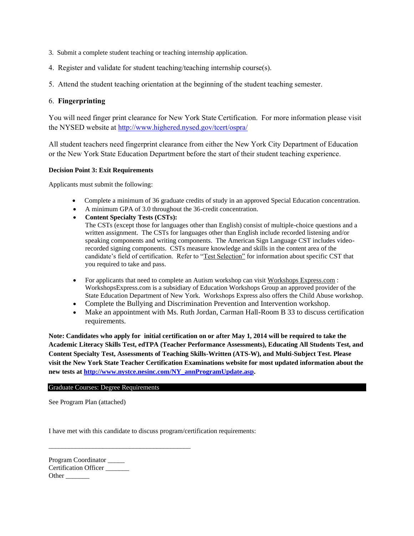- 3. Submit a complete student teaching or teaching internship application.
- 4. Register and validate for student teaching/teaching internship course(s).
- 5. Attend the student teaching orientation at the beginning of the student teaching semester.

### 6. **Fingerprinting**

You will need finger print clearance for New York State Certification. For more information please visit the NYSED website at<http://www.highered.nysed.gov/tcert/ospra/>

All student teachers need fingerprint clearance from either the New York City Department of Education or the New York State Education Department before the start of their student teaching experience.

### **Decision Point 3: Exit Requirements**

Applicants must submit the following:

- Complete a minimum of 36 graduate credits of study in an approved Special Education concentration.
- A minimum GPA of 3.0 throughout the 36-credit concentration.
- **Content Specialty Tests (CSTs):**

The CSTs (except those for languages other than English) consist of multiple-choice questions and a written assignment. The CSTs for languages other than English include recorded listening and/or speaking components and writing components. The American Sign Language CST includes videorecorded signing components. CSTs measure knowledge and skills in the content area of the candidate's field of certification. Refer to "Test Selection" for information about specific CST that you required to take and pass.

- For applicants that need to complete an Autism workshop can visit Workshops Express.com : WorkshopsExpress.com is a subsidiary of Education Workshops Group an approved provider of the State Education Department of New York. Workshops Express also offers the Child Abuse workshop.
- Complete the Bullying and Discrimination Prevention and Intervention workshop.
- Make an appointment with Ms. Ruth Jordan, Carman Hall-Room B 33 to discuss certification requirements.

**Note: Candidates who apply for initial certification on or after May 1, 2014 will be required to take the Academic Literacy Skills Test, edTPA (Teacher Performance Assessments), Educating All Students Test, and Content Specialty Test, Assessments of Teaching Skills-Written (ATS-W), and Multi-Subject Test. Please visit the New York State Teacher Certification Examinations website for most updated information about the new tests at [http://www.nystce.nesinc.com/NY\\_annProgramUpdate.asp.](http://www.nystce.nesinc.com/NY_annProgramUpdate.asp)** 

#### Graduate Courses: Degree Requirements

\_\_\_\_\_\_\_\_\_\_\_\_\_\_\_\_\_\_\_\_\_\_\_\_\_\_\_\_\_\_\_\_\_\_\_\_\_\_\_\_\_\_

See Program Plan (attached)

I have met with this candidate to discuss program/certification requirements:

| Program Coordinator   |  |
|-----------------------|--|
| Certification Officer |  |
| Other                 |  |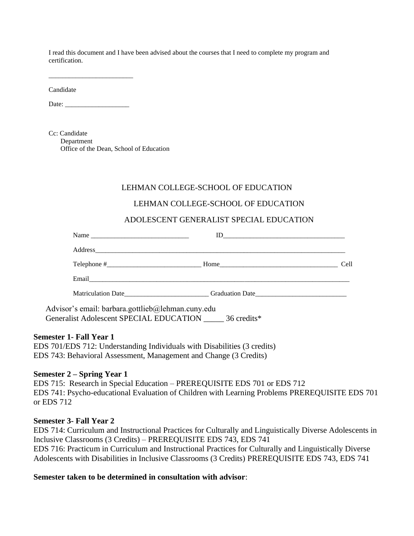I read this document and I have been advised about the courses that I need to complete my program and certification.

Candidate

Date: \_\_\_\_\_\_\_\_\_\_\_\_\_\_\_\_\_\_\_

\_\_\_\_\_\_\_\_\_\_\_\_\_\_\_\_\_\_\_\_\_\_\_\_\_

Cc: Candidate Department Office of the Dean, School of Education

# LEHMAN COLLEGE-SCHOOL OF EDUCATION

# LEHMAN COLLEGE-SCHOOL OF EDUCATION

# ADOLESCENT GENERALIST SPECIAL EDUCATION

| Name                                                                                                     | $ID \qquad \qquad \boxed{\qquad \qquad }$          |      |
|----------------------------------------------------------------------------------------------------------|----------------------------------------------------|------|
|                                                                                                          |                                                    |      |
|                                                                                                          |                                                    | Cell |
|                                                                                                          |                                                    |      |
|                                                                                                          | Matriculation Date Graduation Date Graduation Date |      |
| Advisor's email: barbara.gottlieb@lehman.cuny.edu<br>Generalist Adolescent SPECIAL EDUCATION 36 credits* |                                                    |      |

# **Semester 1- Fall Year 1**

EDS 701/EDS 712: Understanding Individuals with Disabilities (3 credits) EDS 743: Behavioral Assessment, Management and Change (3 Credits)

# **Semester 2 – Spring Year 1**

EDS 715: Research in Special Education – PREREQUISITE EDS 701 or EDS 712 EDS 741: Psycho-educational Evaluation of Children with Learning Problems PREREQUISITE EDS 701 or EDS 712

# **Semester 3- Fall Year 2**

EDS 714: Curriculum and Instructional Practices for Culturally and Linguistically Diverse Adolescents in Inclusive Classrooms (3 Credits) – PREREQUISITE EDS 743, EDS 741 EDS 716: Practicum in Curriculum and Instructional Practices for Culturally and Linguistically Diverse Adolescents with Disabilities in Inclusive Classrooms (3 Credits) PREREQUISITE EDS 743, EDS 741

# **Semester taken to be determined in consultation with advisor**: